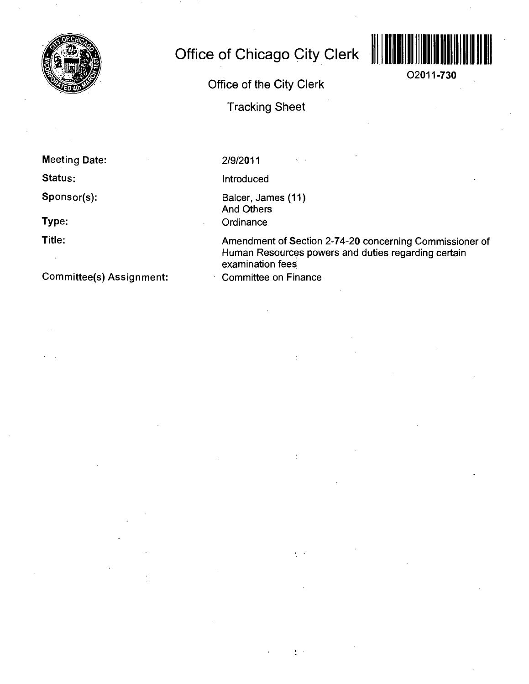

# **Office of Chicago City Clerk**



**O2011-730** 

**Office of the City Clerk** 

**Tracking Sheet** 

**Meeting Date:** 

**Status:** 

**Sponsor(s):** 

**Type:** 

**Title:** 

**Committee(s) Assignment:** 

## 2/9/2011

Introduced

Balcer, James (11) And Others **Ordinance** 

Amendment of Secfion 2-74-20 concerning Commissioner of Human Resources powers and duties regarding certain examination fees

Committee on Finance

 $\hat{\cdot}$ 

Ä

 $\mathbf{r}=\mathbf{r}$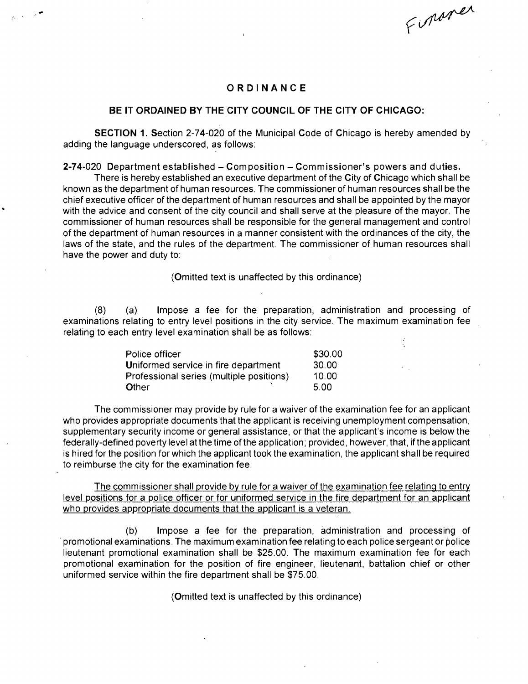Financi

## **ORDINANC E**

#### **BE IT ORDAINED BY THE CITY COUNCIL OF THE CITY OF CHICAGO:**

SECTION 1. Section 2-74-020 of the Municipal Code of Chicago is hereby amended by adding the language underscored, as follows:

**2-74-020 Department established - Composition - Commissioner's powers and duties.** 

There is hereby established an executive department of the City of Chicago which shall be known as the department of human resources. The commissioner of human resources shall be the chief executive officer of the department of human resources and shall be appointed by the mayor with the advice and consent of the city council and shall serve at the pleasure of the mayor. The commissioner of human resources shall be responsible for the general management and control ofthe department of human resources in a manner consistent with the ordinances ofthe city, the laws of the state, and the rules of the department. The commissioner of human resources shall have the power and duty to:

#### (Omitted text is unaffected by this ordinance)

(8) (a) Impose a fee for the preparation, administration and processing of examinations relating to entry level positions in the city service. The maximum examination fee relating to each entry level examination shall be as follows:

| Police officer                           | \$30.00 |
|------------------------------------------|---------|
| Uniformed service in fire department     | 30.00   |
| Professional series (multiple positions) | 10.00   |
| Other                                    | 5.00    |

The commissioner may provide by rule for a waiver of the examination fee for an applicant who provides appropriate documents that the applicant is receiving unemployment compensation, supplementary security income or general assistance, or that the applicant's income is below the federally-defined poverty level at the time of the application; provided, however, that, if the applicant is hired forthe position for which the applicant took the examination, the applicant shall be required to reimburse the city for the examination fee.

The commissioner shall provide by rule for a waiver of the examination fee relating to entry level positions for a police officer or for uniformed service in the fire department for an applicant who provides appropriate documents that the applicant is a veteran.

(b) Impose a fee for the preparation, administration and processing of promotional examinations. The maximum examination fee relating to each police sergeant or police lieutenant promotional examination shall be \$25.00. The maximum examination fee for each promotional examination for the position of fire engineer, lieutenant, battalion chief or other uniformed service within the fire department shall be \$75.00.

(Omitted text is unaffected by this ordinance)